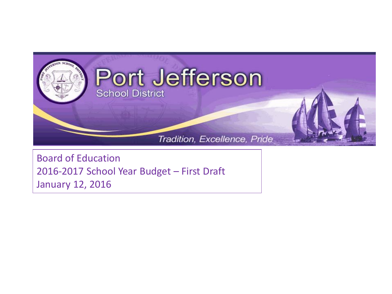

Board of Education 2016-2017 School Year Budget – First Draft January 12, 2016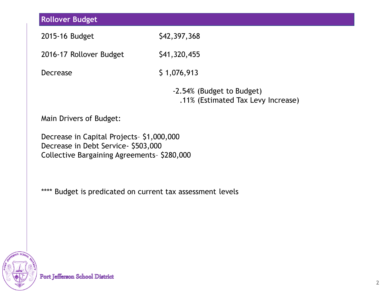| <b>Rollover Budget</b>                                                                                                         |                                                                 |  |  |  |
|--------------------------------------------------------------------------------------------------------------------------------|-----------------------------------------------------------------|--|--|--|
| 2015-16 Budget                                                                                                                 | \$42,397,368                                                    |  |  |  |
|                                                                                                                                |                                                                 |  |  |  |
| 2016-17 Rollover Budget                                                                                                        | \$41,320,455                                                    |  |  |  |
| <b>Decrease</b>                                                                                                                | \$1,076,913                                                     |  |  |  |
|                                                                                                                                | -2.54% (Budget to Budget)<br>.11% (Estimated Tax Levy Increase) |  |  |  |
| Main Drivers of Budget:                                                                                                        |                                                                 |  |  |  |
| Decrease in Capital Projects-\$1,000,000<br>Decrease in Debt Service- \$503,000<br>Collective Bargaining Agreements- \$280,000 |                                                                 |  |  |  |
| **** Budget is predicated on current tax assessment levels                                                                     |                                                                 |  |  |  |
|                                                                                                                                |                                                                 |  |  |  |
|                                                                                                                                |                                                                 |  |  |  |
|                                                                                                                                |                                                                 |  |  |  |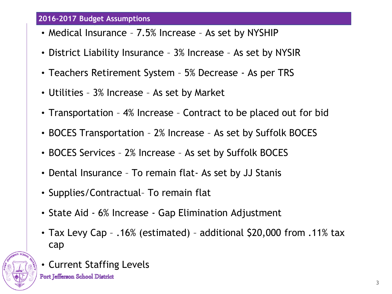## **2016-2017 Budget Assumptions**

- Medical Insurance 7.5% Increase As set by NYSHIP
- District Liability Insurance 3% Increase As set by NYSIR
- Teachers Retirement System 5% Decrease As per TRS
- Utilities 3% Increase As set by Market
- Transportation 4% Increase Contract to be placed out for bid
- BOCES Transportation 2% Increase As set by Suffolk BOCES
- BOCES Services 2% Increase As set by Suffolk BOCES
- Dental Insurance To remain flat- As set by JJ Stanis
- Supplies/Contractual– To remain flat
- State Aid 6% Increase Gap Elimination Adjustment
- Tax Levy Cap .16% (estimated) additional \$20,000 from .11% tax cap



• Current Staffing Levels

Port Jefferson School District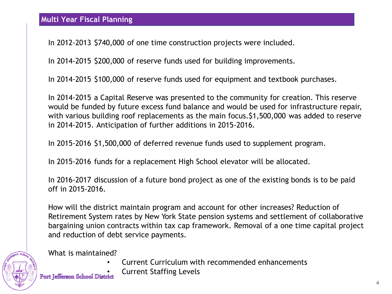In 2012-2013 \$740,000 of one time construction projects were included.

In 2014-2015 \$200,000 of reserve funds used for building improvements.

In 2014-2015 \$100,000 of reserve funds used for equipment and textbook purchases.

In 2014-2015 a Capital Reserve was presented to the community for creation. This reserve would be funded by future excess fund balance and would be used for infrastructure repair, with various building roof replacements as the main focus. \$1,500,000 was added to reserve in 2014-2015. Anticipation of further additions in 2015-2016.

In 2015-2016 \$1,500,000 of deferred revenue funds used to supplement program.

In 2015-2016 funds for a replacement High School elevator will be allocated.

In 2016-2017 discussion of a future bond project as one of the existing bonds is to be paid off in 2015-2016.

How will the district maintain program and account for other increases? Reduction of Retirement System rates by New York State pension systems and settlement of collaborative bargaining union contracts within tax cap framework. Removal of a one time capital project and reduction of debt service payments.



What is maintained?

- Current Curriculum with recommended enhancements
- Current Staffing Levels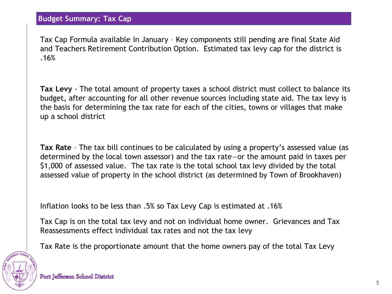**Budget Summary: Tax Cap**

Tax Cap Formula available In January – Key components still pending are final State Aid and Teachers Retirement Contribution Option. Estimated tax levy cap for the district is .16%

**Tax Levy** - The total amount of property taxes a school district must collect to balance its budget, after accounting for all other revenue sources including state aid. The tax levy is the basis for determining the tax rate for each of the cities, towns or villages that make up a school district

**Tax Rate** – The tax bill continues to be calculated by using a property's assessed value (as determined by the local town assessor) and the tax rate—or the amount paid in taxes per \$1,000 of assessed value. The tax rate is the total school tax levy divided by the total assessed value of property in the school district (as determined by Town of Brookhaven)

Inflation looks to be less than .5% so Tax Levy Cap is estimated at .16%

Tax Cap is on the total tax levy and not on individual home owner. Grievances and Tax Reassessments effect individual tax rates and not the tax levy

Tax Rate is the proportionate amount that the home owners pay of the total Tax Levy

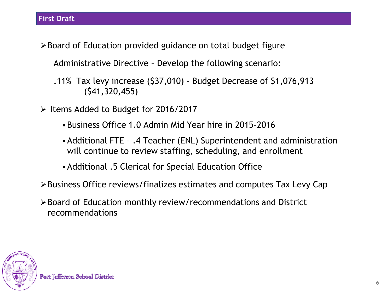Board of Education provided guidance on total budget figure

Administrative Directive – Develop the following scenario:

.11% Tax levy increase (\$37,010) - Budget Decrease of \$1,076,913 (\$41,320,455)

 $\triangleright$  Items Added to Budget for 2016/2017

- Business Office 1.0 Admin Mid Year hire in 2015-2016
- Additional FTE .4 Teacher (ENL) Superintendent and administration will continue to review staffing, scheduling, and enrollment
- Additional .5 Clerical for Special Education Office
- Business Office reviews/finalizes estimates and computes Tax Levy Cap
- Board of Education monthly review/recommendations and District recommendations

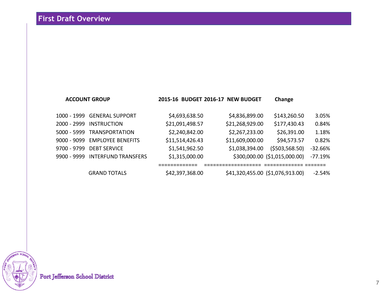|             | <b>ACCOUNT GROUP</b>            | 2015-16 BUDGET 2016-17 NEW BUDGET |                                  | Change                        |           |
|-------------|---------------------------------|-----------------------------------|----------------------------------|-------------------------------|-----------|
|             | 1000 - 1999 GENERAL SUPPORT     | \$4,693,638.50                    | \$4,836,899.00                   | \$143,260.50                  | 3.05%     |
| 2000 - 2999 | <b>INSTRUCTION</b>              | \$21,091,498.57                   | \$21,268,929.00                  | \$177,430.43                  | 0.84%     |
| 5000 - 5999 | TRANSPORTATION                  | \$2,240,842.00                    | \$2,267,233.00                   | \$26,391.00                   | 1.18%     |
|             | 9000 - 9099 EMPLOYEE BENEFITS   | \$11,514,426.43                   | \$11,609,000.00                  | \$94,573.57                   | 0.82%     |
| 9700 - 9799 | <b>DEBT SERVICE</b>             | \$1,541,962.50                    | \$1,038,394.00                   | ( \$503, 568.50)              | $-32.66%$ |
|             | 9900 - 9999 INTERFUND TRANSFERS | \$1,315,000.00                    |                                  | \$300,000.00 (\$1,015,000.00) | $-77.19%$ |
|             |                                 |                                   |                                  |                               |           |
|             | <b>GRAND TOTALS</b>             | \$42,397,368.00                   | \$41,320,455.00 (\$1,076,913.00) |                               | $-2.54%$  |

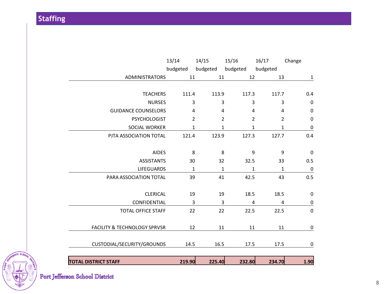**Staffing**

| <b>TOTAL DISTRICT STAFF</b>             | 219.90         | 225.40         | 232.80         | 234.70         | 1.90             |
|-----------------------------------------|----------------|----------------|----------------|----------------|------------------|
|                                         |                |                |                |                |                  |
| CUSTODIAL/SECURITY/GROUNDS              | 14.5           | 16.5           | 17.5           | 17.5           | 0                |
| <b>FACILITY &amp; TECHNOLOGY SPRVSR</b> | 12             | 11             | 11             | 11             | $\boldsymbol{0}$ |
|                                         |                |                |                |                |                  |
| <b>TOTAL OFFICE STAFF</b>               | 22             | 22             | 22.5           | 22.5           | $\mathbf 0$      |
| CONFIDENTIAL                            | 3              | 3              | 4              | 4              | $\pmb{0}$        |
| <b>CLERICAL</b>                         | 19             | 19             | 18.5           | 18.5           | 0                |
| PARA ASSOCIATION TOTAL                  | 39             | 41             | 42.5           | 43             | 0.5              |
| <b>LIFEGUARDS</b>                       | $\mathbf{1}$   | $\mathbf{1}$   | 1              | 1              | 0                |
| <b>ASSISTANTS</b>                       | 30             | 32             | 32.5           | 33             | 0.5              |
| <b>AIDES</b>                            | 8              | 8              | 9              | 9              | 0                |
| PJTA ASSOCIATION TOTAL                  | 121.4          | 123.9          | 127.3          | 127.7          | 0.4              |
| SOCIAL WORKER                           | $\mathbf{1}$   | 1              | 1              | $\mathbf{1}$   | $\pmb{0}$        |
| <b>PSYCHOLOGIST</b>                     | $\overline{2}$ | $\overline{2}$ | $\overline{2}$ | $\overline{2}$ | $\mathbf 0$      |
| <b>GUIDANCE COUNSELORS</b>              | 4              | 4              | 4              | 4              | $\pmb{0}$        |
| <b>NURSES</b>                           | 3              | 3              | 3              | 3              | 0                |
| <b>TEACHERS</b>                         | 111.4          | 113.9          | 117.3          | 117.7          | 0.4              |
| ADMINISTRATORS                          | 11             | 11             | 12             | 13             | $\mathbf{1}$     |
|                                         | budgeted       | budgeted       | budgeted       | budgeted       |                  |
|                                         | 13/14          | 14/15          | 15/16          | 16/17          | Change           |

**AFFERSON SCHOOL**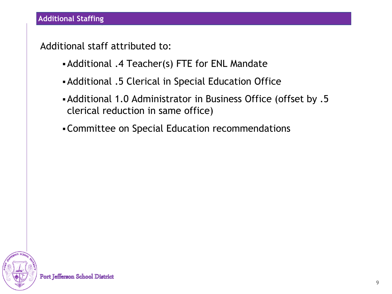Additional staff attributed to:

- Additional .4 Teacher(s) FTE for ENL Mandate
- Additional .5 Clerical in Special Education Office
- Additional 1.0 Administrator in Business Office (offset by .5 clerical reduction in same office)
- Committee on Special Education recommendations

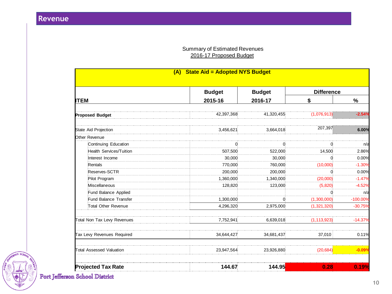## Summary of Estimated Revenues 2016-17 Proposed Budget

| (A) State Aid = Adopted NYS Budget |               |               |                   |            |  |
|------------------------------------|---------------|---------------|-------------------|------------|--|
|                                    | <b>Budget</b> | <b>Budget</b> | <b>Difference</b> |            |  |
| <b>ITEM</b>                        | 2015-16       | 2016-17       | \$                | $\%$       |  |
| <b>Proposed Budget</b>             | 42,397,368    | 41,320,455    | (1,076,913)       | $-2.54%$   |  |
| State Aid Projection               | 3,456,621     | 3,664,018     | 207,397           | 6.00%      |  |
| Other Revenue                      |               |               |                   |            |  |
| Continuing Education               | 0             | 0             | 0                 | n/a        |  |
| <b>Health Services/Tuition</b>     | 507,500       | 522,000       | 14,500            | 2.86%      |  |
| Interest Income                    | 30,000        | 30,000        |                   | 0.00%      |  |
| Rentals                            | 770,000       | 760,000       | (10,000)          | $-1.30%$   |  |
| Reserves-SCTR                      | 200,000       | 200,000       | 0                 | 0.00%      |  |
| Pilot Program                      | 1,360,000     | 1,340,000     | (20,000)          | $-1.47%$   |  |
| Miscellaneous                      | 128,820       | 123,000       | (5,820)           | $-4.52%$   |  |
| Fund Balance Applied               |               |               |                   | n/a        |  |
| Fund Balance Transfer              | 1,300,000     | 0             | (1,300,000)       | $-100.00%$ |  |
| Total Other Revenue                | 4,296,320     | 2,975,000     | (1,321,320)       | $-30.75%$  |  |
| Total Non Tax Levy Revenues        | 7,752,941     | 6,639,018     | (1, 113, 923)     | $-14.37%$  |  |
| Tax Levy Revenues Required         | 34,644,427    | 34,681,437    | 37,010            | 0.11%      |  |
| Total Assessed Valuation           | 23,947,564    | 23,926,880    | (20, 684)         | $-0.09°$   |  |
| <b>Projected Tax Rate</b>          | 144.67        | 144.95        | 0.28              | 0.19%      |  |



Port Jefferson School District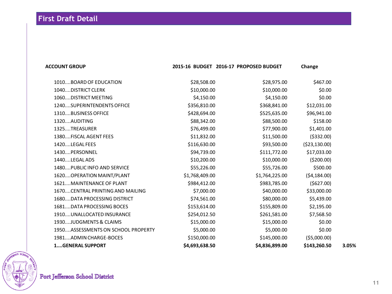| <b>ACCOUNT GROUP</b>               |                | 2015-16 BUDGET 2016-17 PROPOSED BUDGET | Change         |       |
|------------------------------------|----------------|----------------------------------------|----------------|-------|
| 1010BOARD OF EDUCATION             | \$28,508.00    | \$28,975.00                            | \$467.00       |       |
| 1040DISTRICT CLERK                 | \$10,000.00    | \$10,000.00                            | \$0.00         |       |
| 1060DISTRICT MEETING               | \$4,150.00     | \$4,150.00                             | \$0.00         |       |
| 1240SUPERINTENDENTS OFFICE         | \$356,810.00   | \$368,841.00                           | \$12,031.00    |       |
| 1310BUSINESS OFFICE                | \$428,694.00   | \$525,635.00                           | \$96,941.00    |       |
| 1320AUDITING                       | \$88,342.00    | \$88,500.00                            | \$158.00       |       |
| 1325TREASURER                      | \$76,499.00    | \$77,900.00                            | \$1,401.00     |       |
| 1380FISCAL AGENT FEES              | \$11,832.00    | \$11,500.00                            | ( \$332.00)    |       |
| 1420LEGAL FEES                     | \$116,630.00   | \$93,500.00                            | ( \$23,130.00) |       |
| 1430PERSONNEL                      | \$94,739.00    | \$111,772.00                           | \$17,033.00    |       |
| 1440LEGAL ADS                      | \$10,200.00    | \$10,000.00                            | (5200.00)      |       |
| 1480PUBLIC INFO AND SERVICE        | \$55,226.00    | \$55,726.00                            | \$500.00       |       |
| 1620 OPERATION MAINT/PLANT         | \$1,768,409.00 | \$1,764,225.00                         | (54, 184.00)   |       |
| 1621 MAINTENANCE OF PLANT          | \$984,412.00   | \$983,785.00                           | (5627.00)      |       |
| 1670CENTRAL PRINTING AND MAILING   | \$7,000.00     | \$40,000.00                            | \$33,000.00    |       |
| 1680DATA PROCESSING DISTRICT       | \$74,561.00    | \$80,000.00                            | \$5,439.00     |       |
| 1681DATA PROCESSING BOCES          | \$153,614.00   | \$155,809.00                           | \$2,195.00     |       |
| 1910UNALLOCATED INSURANCE          | \$254,012.50   | \$261,581.00                           | \$7,568.50     |       |
| 1930JUDGMENTS & CLAIMS             | \$15,000.00    | \$15,000.00                            | \$0.00         |       |
| 1950ASSESSMENTS ON SCHOOL PROPERTY | \$5,000.00     | \$5,000.00                             | \$0.00         |       |
| 1981ADMIN CHARGE-BOCES             | \$150,000.00   | \$145,000.00                           | ( \$5,000.00)  |       |
| <b>1GENERAL SUPPORT</b>            | \$4,693,638.50 | \$4,836,899.00                         | \$143,260.50   | 3.05% |
|                                    |                |                                        |                |       |

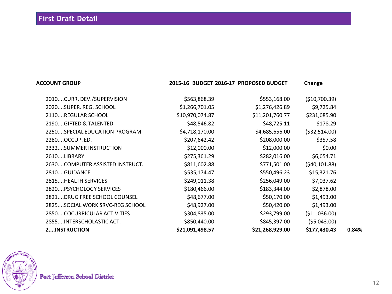## **ACCOUNT GROUP 2015-16 BUDGET 2016-17 PROPOSED BUDGET Change**

2010....CURR. DEV./SUPERVISION \$563,868.39 \$553,168.00 (\$10,700.39) 2020....SUPER. REG. SCHOOL \$1,266,701.05 \$1,276,426.89 \$9,725.84 2110....REGULAR SCHOOL \$10,970,074.87 \$11,201,760.77 \$231,685.90 2190....GIFTED & TALENTED  $$48,546.82$  \$48,725.11 \$178.29 2250....SPECIAL EDUCATION PROGRAM \$4,718,170.00 \$4,685,656.00 (\$32,514.00) 2280....OCCUP. ED. \$207,642.42 \$208,000.00 \$357.58 2332....SUMMER INSTRUCTION \$12,000.00 \$12,000.00 \$0.00 2610....LIBRARY \$275,361.29 \$282,016.00 \$6,654.71 2630....COMPUTER ASSISTED INSTRUCT. \$811,602.88 \$771,501.00 (\$40,101.88) 2810....GUIDANCE \$535,174.47 \$550,496.23 \$15,321.76 2815....HEALTH SERVICES \$249,011.38 \$256,049.00 \$7,037.62 2820....PSYCHOLOGY SERVICES \$180,466.00 \$180,466.00 \$2,878.00 2821....DRUG FREE SCHOOL COUNSEL \$48,677.00 \$50,170.00 \$1,493.00 2825....SOCIAL WORK SRVC-REG SCHOOL 548,927.00 \$50,420.00 \$1,493.00 2850....COCURRICULAR ACTIVITIES \$304,835.00 \$293,799.00 (\$11,036.00) 2855....INTERSCHOLASTIC ACT. \$850,440.00 \$845,397.00 (\$5,043.00) **2....INSTRUCTION \$21,091,498.57 \$21,268,929.00 \$177,430.43 0.84%**